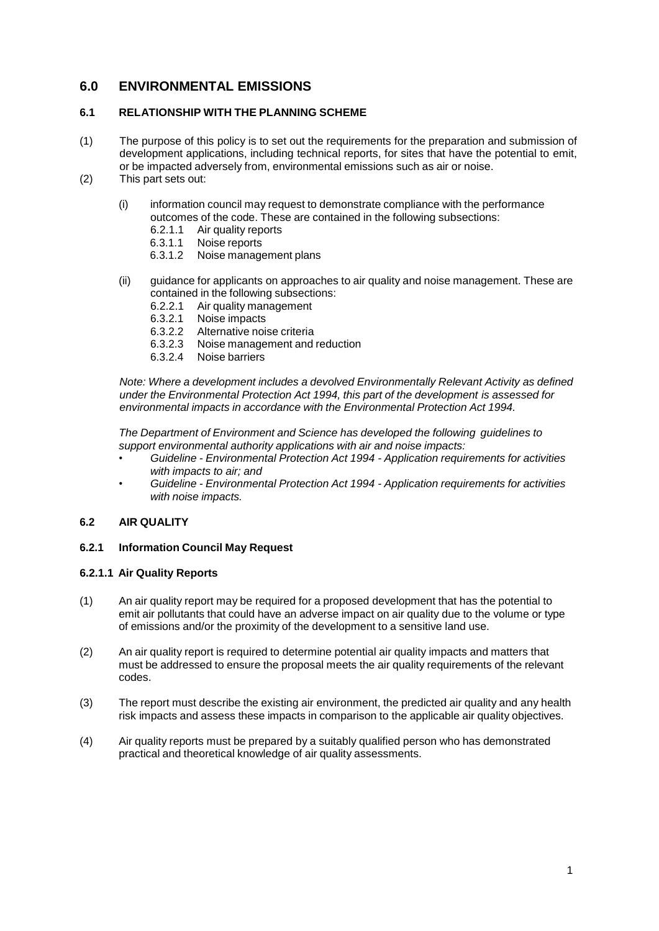# **6.0 ENVIRONMENTAL EMISSIONS**

# **6.1 RELATIONSHIP WITH THE PLANNING SCHEME**

- (1) The purpose of this policy is to set out the requirements for the preparation and submission of development applications, including technical reports, for sites that have the potential to emit, or be impacted adversely from, environmental emissions such as air or noise.
- (2) This part sets out:
	- (i) information council may request to demonstrate compliance with the performance outcomes of the code. These are contained in the following subsections:<br>6.2.1.1 Air quality reports
		- 6.2.1.1 Air quality reports<br>6.3.1.1 Noise reports
		- 6.3.1.1 Noise reports<br>6.3.1.2 Noise manage
		- Noise management plans
	- (ii) guidance for applicants on approaches to air quality and noise management. These are contained in the following subsections:
		- 6.2.2.1 Air quality management
		- 6.3.2.1 Noise impacts
		- Alternative noise criteria
		- 6.3.2.3 Noise management and reduction<br>6.3.2.4 Noise barriers
		- Noise barriers

*Note: Where a development includes a devolved Environmentally Relevant Activity as defined under the Environmental Protection Act 1994, this part of the development is assessed for environmental impacts in accordance with the Environmental Protection Act 1994.*

*The Department of Environment and Science has developed the following guidelines to support environmental authority applications with air and noise impacts:*

- *Guideline - Environmental Protection Act 1994 - Application requirements for activities with impacts to air; and*
- *Guideline - Environmental Protection Act 1994 - Application requirements for activities with noise impacts.*

# **6.2 AIR QUALITY**

# **6.2.1 Information Council May Request**

# **6.2.1.1 Air Quality Reports**

- (1) An air quality report may be required for a proposed development that has the potential to emit air pollutants that could have an adverse impact on air quality due to the volume or type of emissions and/or the proximity of the development to a sensitive land use.
- (2) An air quality report is required to determine potential air quality impacts and matters that must be addressed to ensure the proposal meets the air quality requirements of the relevant codes.
- (3) The report must describe the existing air environment, the predicted air quality and any health risk impacts and assess these impacts in comparison to the applicable air quality objectives.
- (4) Air quality reports must be prepared by a suitably qualified person who has demonstrated practical and theoretical knowledge of air quality assessments.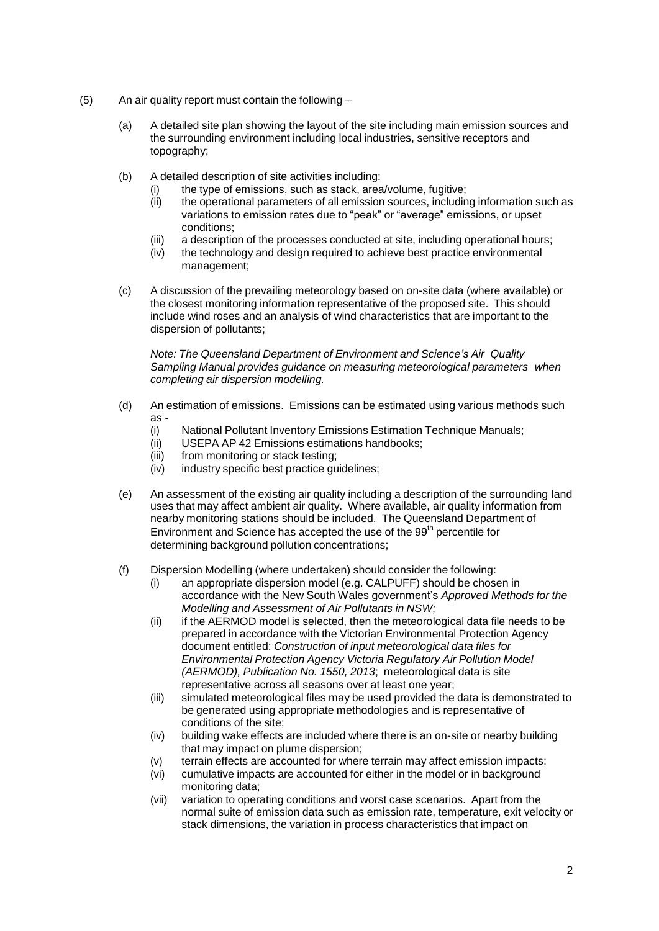- (5) An air quality report must contain the following
	- (a) A detailed site plan showing the layout of the site including main emission sources and the surrounding environment including local industries, sensitive receptors and topography;
	- (b) A detailed description of site activities including:
		- (i) the type of emissions, such as stack, area/volume, fugitive;<br>(ii) the operational parameters of all emission sources, includin
		- the operational parameters of all emission sources, including information such as variations to emission rates due to "peak" or "average" emissions, or upset conditions;
		- (iii) a description of the processes conducted at site, including operational hours;
		- (iv) the technology and design required to achieve best practice environmental management;
	- (c) A discussion of the prevailing meteorology based on on-site data (where available) or the closest monitoring information representative of the proposed site. This should include wind roses and an analysis of wind characteristics that are important to the dispersion of pollutants;

*Note: The Queensland Department of Environment and Science's Air Quality Sampling Manual provides guidance on measuring meteorological parameters when completing air dispersion modelling.*

- (d) An estimation of emissions. Emissions can be estimated using various methods such as -<br>(i)
	- National Pollutant Inventory Emissions Estimation Technique Manuals;
	- (ii) USEPA AP 42 Emissions estimations handbooks;
	- (iii) from monitoring or stack testing;
	- (iv) industry specific best practice guidelines;
- (e) An assessment of the existing air quality including a description of the surrounding land uses that may affect ambient air quality. Where available, air quality information from nearby monitoring stations should be included. The Queensland Department of Environment and Science has accepted the use of the 99<sup>th</sup> percentile for determining background pollution concentrations;
- (f) Dispersion Modelling (where undertaken) should consider the following:
	- (i) an appropriate dispersion model (e.g. CALPUFF) should be chosen in accordance with the New South Wales government's *Approved Methods for the Modelling and Assessment of Air Pollutants in NSW;*
	- (ii) if the AERMOD model is selected, then the meteorological data file needs to be prepared in accordance with the Victorian Environmental Protection Agency document entitled: *Construction of input meteorological data files for Environmental Protection Agency Victoria Regulatory Air Pollution Model (AERMOD), Publication No. 1550, 2013*; meteorological data is site representative across all seasons over at least one year;
	- (iii) simulated meteorological files may be used provided the data is demonstrated to be generated using appropriate methodologies and is representative of conditions of the site;
	- (iv) building wake effects are included where there is an on-site or nearby building that may impact on plume dispersion;
	- (v) terrain effects are accounted for where terrain may affect emission impacts;<br>(vi) cumulative impacts are accounted for either in the model or in background
	- cumulative impacts are accounted for either in the model or in background monitoring data;
	- (vii) variation to operating conditions and worst case scenarios. Apart from the normal suite of emission data such as emission rate, temperature, exit velocity or stack dimensions, the variation in process characteristics that impact on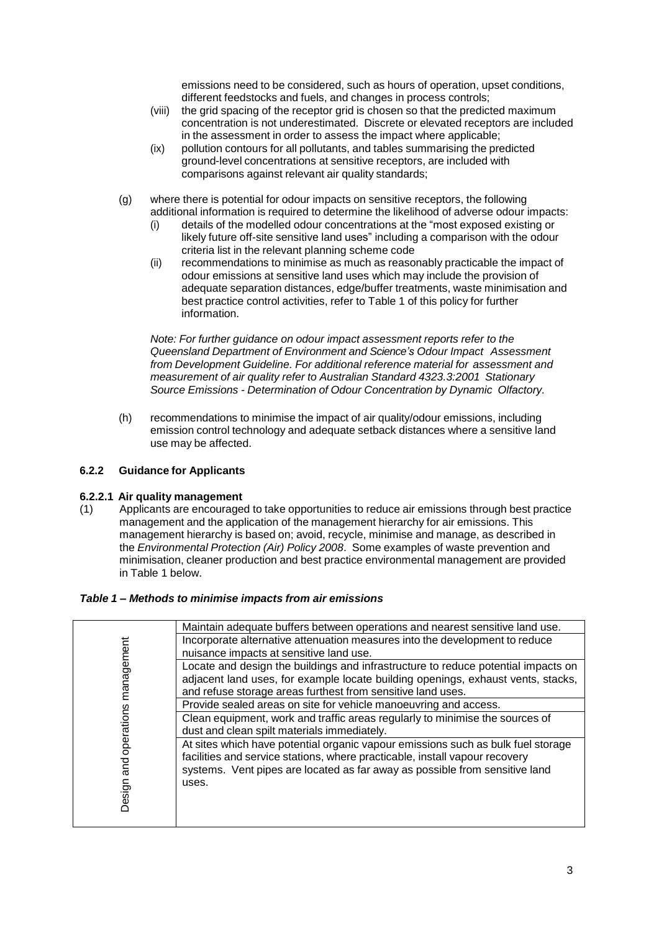emissions need to be considered, such as hours of operation, upset conditions, different feedstocks and fuels, and changes in process controls;

- (viii) the grid spacing of the receptor grid is chosen so that the predicted maximum concentration is not underestimated. Discrete or elevated receptors are included in the assessment in order to assess the impact where applicable;
- (ix) pollution contours for all pollutants, and tables summarising the predicted ground-level concentrations at sensitive receptors, are included with comparisons against relevant air quality standards;
- (g) where there is potential for odour impacts on sensitive receptors, the following additional information is required to determine the likelihood of adverse odour impacts:
	- (i) details of the modelled odour concentrations at the "most exposed existing or likely future off-site sensitive land uses" including a comparison with the odour criteria list in the relevant planning scheme code
	- (ii) recommendations to minimise as much as reasonably practicable the impact of odour emissions at sensitive land uses which may include the provision of adequate separation distances, edge/buffer treatments, waste minimisation and best practice control activities, refer to Table 1 of this policy for further information.

*Note: For further guidance on odour impact assessment reports refer to the Queensland Department of Environment and Science's Odour Impact Assessment from Development Guideline. For additional reference material for assessment and measurement of air quality refer to Australian Standard 4323.3:2001 Stationary Source Emissions - Determination of Odour Concentration by Dynamic Olfactory.*

(h) recommendations to minimise the impact of air quality/odour emissions, including emission control technology and adequate setback distances where a sensitive land use may be affected.

# **6.2.2 Guidance for Applicants**

# **6.2.2.1 Air quality management**

(1) Applicants are encouraged to take opportunities to reduce air emissions through best practice management and the application of the management hierarchy for air emissions. This management hierarchy is based on; avoid, recycle, minimise and manage, as described in the *Environmental Protection (Air) Policy 2008*. Some examples of waste prevention and minimisation, cleaner production and best practice environmental management are provided in Table 1 below.

# *Table 1 – Methods to minimise impacts from air emissions*

|                                       | Maintain adequate buffers between operations and nearest sensitive land use.                                                                                                                                                                            |
|---------------------------------------|---------------------------------------------------------------------------------------------------------------------------------------------------------------------------------------------------------------------------------------------------------|
|                                       | Incorporate alternative attenuation measures into the development to reduce                                                                                                                                                                             |
|                                       | nuisance impacts at sensitive land use.                                                                                                                                                                                                                 |
|                                       | Locate and design the buildings and infrastructure to reduce potential impacts on<br>adjacent land uses, for example locate building openings, exhaust vents, stacks,                                                                                   |
|                                       | and refuse storage areas furthest from sensitive land uses.                                                                                                                                                                                             |
| and operations management<br>Design a | Provide sealed areas on site for vehicle manoeuvring and access.                                                                                                                                                                                        |
|                                       | Clean equipment, work and traffic areas regularly to minimise the sources of                                                                                                                                                                            |
|                                       | dust and clean spilt materials immediately.                                                                                                                                                                                                             |
|                                       | At sites which have potential organic vapour emissions such as bulk fuel storage<br>facilities and service stations, where practicable, install vapour recovery<br>systems. Vent pipes are located as far away as possible from sensitive land<br>uses. |
|                                       |                                                                                                                                                                                                                                                         |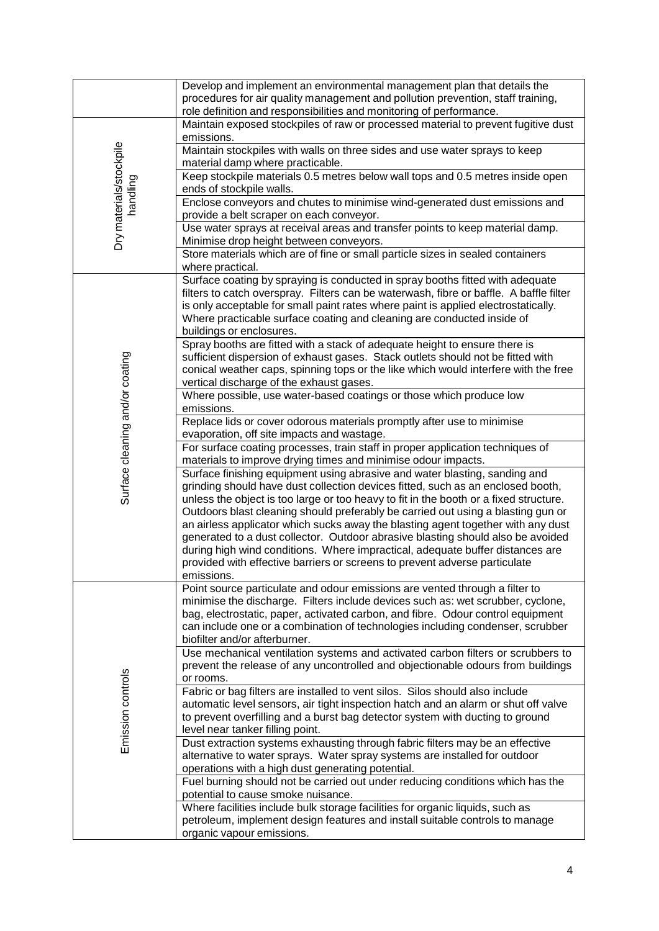|                                     | Develop and implement an environmental management plan that details the<br>procedures for air quality management and pollution prevention, staff training,<br>role definition and responsibilities and monitoring of performance.                                                                                                                                                                                                                                                                                                                                                                                                                                                              |
|-------------------------------------|------------------------------------------------------------------------------------------------------------------------------------------------------------------------------------------------------------------------------------------------------------------------------------------------------------------------------------------------------------------------------------------------------------------------------------------------------------------------------------------------------------------------------------------------------------------------------------------------------------------------------------------------------------------------------------------------|
| Dry materials/stockpile<br>handling | Maintain exposed stockpiles of raw or processed material to prevent fugitive dust<br>emissions.                                                                                                                                                                                                                                                                                                                                                                                                                                                                                                                                                                                                |
|                                     | Maintain stockpiles with walls on three sides and use water sprays to keep<br>material damp where practicable.                                                                                                                                                                                                                                                                                                                                                                                                                                                                                                                                                                                 |
|                                     | Keep stockpile materials 0.5 metres below wall tops and 0.5 metres inside open<br>ends of stockpile walls.                                                                                                                                                                                                                                                                                                                                                                                                                                                                                                                                                                                     |
|                                     | Enclose conveyors and chutes to minimise wind-generated dust emissions and<br>provide a belt scraper on each conveyor.                                                                                                                                                                                                                                                                                                                                                                                                                                                                                                                                                                         |
|                                     | Use water sprays at receival areas and transfer points to keep material damp.<br>Minimise drop height between conveyors.                                                                                                                                                                                                                                                                                                                                                                                                                                                                                                                                                                       |
|                                     | Store materials which are of fine or small particle sizes in sealed containers<br>where practical.                                                                                                                                                                                                                                                                                                                                                                                                                                                                                                                                                                                             |
|                                     | Surface coating by spraying is conducted in spray booths fitted with adequate<br>filters to catch overspray. Filters can be waterwash, fibre or baffle. A baffle filter<br>is only acceptable for small paint rates where paint is applied electrostatically.<br>Where practicable surface coating and cleaning are conducted inside of<br>buildings or enclosures.<br>Spray booths are fitted with a stack of adequate height to ensure there is<br>sufficient dispersion of exhaust gases. Stack outlets should not be fitted with                                                                                                                                                           |
|                                     | conical weather caps, spinning tops or the like which would interfere with the free<br>vertical discharge of the exhaust gases.                                                                                                                                                                                                                                                                                                                                                                                                                                                                                                                                                                |
|                                     | Where possible, use water-based coatings or those which produce low<br>emissions.                                                                                                                                                                                                                                                                                                                                                                                                                                                                                                                                                                                                              |
|                                     | Replace lids or cover odorous materials promptly after use to minimise<br>evaporation, off site impacts and wastage.                                                                                                                                                                                                                                                                                                                                                                                                                                                                                                                                                                           |
|                                     | For surface coating processes, train staff in proper application techniques of<br>materials to improve drying times and minimise odour impacts.                                                                                                                                                                                                                                                                                                                                                                                                                                                                                                                                                |
| Surface cleaning and/or coating     | Surface finishing equipment using abrasive and water blasting, sanding and<br>grinding should have dust collection devices fitted, such as an enclosed booth,<br>unless the object is too large or too heavy to fit in the booth or a fixed structure.<br>Outdoors blast cleaning should preferably be carried out using a blasting gun or<br>an airless applicator which sucks away the blasting agent together with any dust<br>generated to a dust collector. Outdoor abrasive blasting should also be avoided<br>during high wind conditions. Where impractical, adequate buffer distances are<br>provided with effective barriers or screens to prevent adverse particulate<br>emissions. |
| Emission controls                   | Point source particulate and odour emissions are vented through a filter to<br>minimise the discharge. Filters include devices such as: wet scrubber, cyclone,<br>bag, electrostatic, paper, activated carbon, and fibre. Odour control equipment<br>can include one or a combination of technologies including condenser, scrubber<br>biofilter and/or afterburner.                                                                                                                                                                                                                                                                                                                           |
|                                     | Use mechanical ventilation systems and activated carbon filters or scrubbers to<br>prevent the release of any uncontrolled and objectionable odours from buildings<br>or rooms.                                                                                                                                                                                                                                                                                                                                                                                                                                                                                                                |
|                                     | Fabric or bag filters are installed to vent silos. Silos should also include<br>automatic level sensors, air tight inspection hatch and an alarm or shut off valve<br>to prevent overfilling and a burst bag detector system with ducting to ground<br>level near tanker filling point.                                                                                                                                                                                                                                                                                                                                                                                                        |
|                                     | Dust extraction systems exhausting through fabric filters may be an effective<br>alternative to water sprays. Water spray systems are installed for outdoor<br>operations with a high dust generating potential.                                                                                                                                                                                                                                                                                                                                                                                                                                                                               |
|                                     | Fuel burning should not be carried out under reducing conditions which has the<br>potential to cause smoke nuisance.                                                                                                                                                                                                                                                                                                                                                                                                                                                                                                                                                                           |
|                                     | Where facilities include bulk storage facilities for organic liquids, such as<br>petroleum, implement design features and install suitable controls to manage<br>organic vapour emissions.                                                                                                                                                                                                                                                                                                                                                                                                                                                                                                     |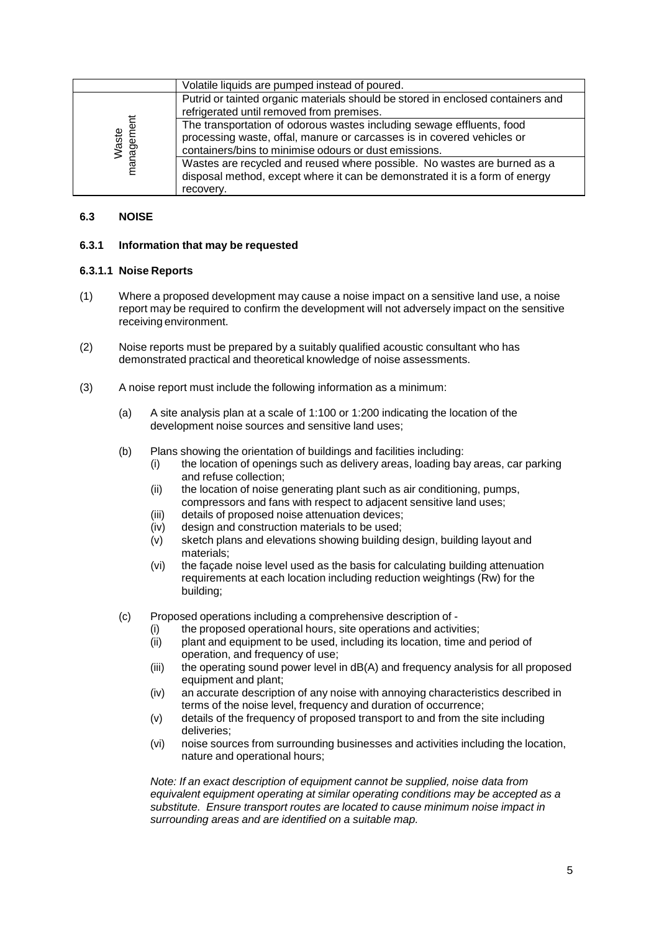|                     | Volatile liquids are pumped instead of poured.                                                                                                          |
|---------------------|---------------------------------------------------------------------------------------------------------------------------------------------------------|
| Waste<br>management | Putrid or tainted organic materials should be stored in enclosed containers and                                                                         |
|                     | refrigerated until removed from premises.                                                                                                               |
|                     | The transportation of odorous wastes including sewage effluents, food                                                                                   |
|                     | processing waste, offal, manure or carcasses is in covered vehicles or                                                                                  |
|                     | containers/bins to minimise odours or dust emissions.                                                                                                   |
|                     | Wastes are recycled and reused where possible. No wastes are burned as a<br>disposal method, except where it can be demonstrated it is a form of energy |
|                     | recovery.                                                                                                                                               |

# **6.3 NOISE**

#### **6.3.1 Information that may be requested**

#### **6.3.1.1 Noise Reports**

- (1) Where a proposed development may cause a noise impact on a sensitive land use, a noise report may be required to confirm the development will not adversely impact on the sensitive receiving environment.
- (2) Noise reports must be prepared by a suitably qualified acoustic consultant who has demonstrated practical and theoretical knowledge of noise assessments.
- (3) A noise report must include the following information as a minimum:
	- (a) A site analysis plan at a scale of 1:100 or 1:200 indicating the location of the development noise sources and sensitive land uses;
	- (b) Plans showing the orientation of buildings and facilities including:
		- (i) the location of openings such as delivery areas, loading bay areas, car parking and refuse collection;
		- (ii) the location of noise generating plant such as air conditioning, pumps, compressors and fans with respect to adjacent sensitive land uses;
		- (iii) details of proposed noise attenuation devices;
		- (iv) design and construction materials to be used;
		- (v) sketch plans and elevations showing building design, building layout and materials;
		- (vi) the façade noise level used as the basis for calculating building attenuation requirements at each location including reduction weightings (Rw) for the building;
	- (c) Proposed operations including a comprehensive description of
		- (i) the proposed operational hours, site operations and activities;
		- (ii) plant and equipment to be used, including its location, time and period of operation, and frequency of use;
		- (iii) the operating sound power level in dB(A) and frequency analysis for all proposed equipment and plant;
		- (iv) an accurate description of any noise with annoying characteristics described in terms of the noise level, frequency and duration of occurrence;
		- (v) details of the frequency of proposed transport to and from the site including deliveries;
		- (vi) noise sources from surrounding businesses and activities including the location, nature and operational hours;

*Note: If an exact description of equipment cannot be supplied, noise data from equivalent equipment operating at similar operating conditions may be accepted as a substitute. Ensure transport routes are located to cause minimum noise impact in surrounding areas and are identified on a suitable map.*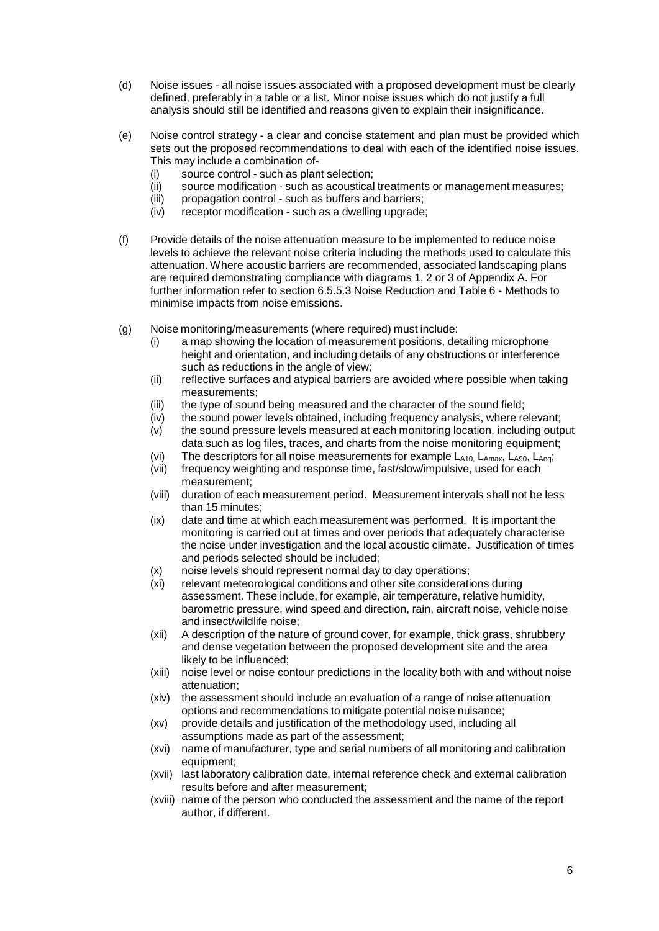- (d) Noise issues all noise issues associated with a proposed development must be clearly defined, preferably in a table or a list. Minor noise issues which do not justify a full analysis should still be identified and reasons given to explain their insignificance.
- (e) Noise control strategy a clear and concise statement and plan must be provided which sets out the proposed recommendations to deal with each of the identified noise issues. This may include a combination of-
	- (i) source control such as plant selection;<br>(ii) source modification such as acoustical
	- source modification such as acoustical treatments or management measures;
	- (iii) propagation control such as buffers and barriers;<br>(iv) receptor modification such as a dwelling upgrade
	- receptor modification such as a dwelling upgrade;
- (f) Provide details of the noise attenuation measure to be implemented to reduce noise levels to achieve the relevant noise criteria including the methods used to calculate this attenuation. Where acoustic barriers are recommended, associated landscaping plans are required demonstrating compliance with diagrams 1, 2 or 3 of Appendix A. For further information refer to section 6.5.5.3 Noise Reduction and Table 6 - Methods to minimise impacts from noise emissions.
- (g) Noise monitoring/measurements (where required) must include:
	- (i) a map showing the location of measurement positions, detailing microphone height and orientation, and including details of any obstructions or interference such as reductions in the angle of view;
	- (ii) reflective surfaces and atypical barriers are avoided where possible when taking measurements;
	- (iii) the type of sound being measured and the character of the sound field;
	- (iv) the sound power levels obtained, including frequency analysis, where relevant;
	- (v) the sound pressure levels measured at each monitoring location, including output data such as log files, traces, and charts from the noise monitoring equipment;
	- (vi) The descriptors for all noise measurements for example  $L_{A10}$ ,  $L_{Amax}$ ,  $L_{A90}$ ,  $L_{Aeq}$ ;
	- (vii) frequency weighting and response time, fast/slow/impulsive, used for each measurement;
	- (viii) duration of each measurement period. Measurement intervals shall not be less than 15 minutes;
	- (ix) date and time at which each measurement was performed. It is important the monitoring is carried out at times and over periods that adequately characterise the noise under investigation and the local acoustic climate. Justification of times and periods selected should be included;
	- (x) noise levels should represent normal day to day operations;
	- (xi) relevant meteorological conditions and other site considerations during assessment. These include, for example, air temperature, relative humidity, barometric pressure, wind speed and direction, rain, aircraft noise, vehicle noise and insect/wildlife noise;
	- (xii) A description of the nature of ground cover, for example, thick grass, shrubbery and dense vegetation between the proposed development site and the area likely to be influenced;
	- (xiii) noise level or noise contour predictions in the locality both with and without noise attenuation;
	- (xiv) the assessment should include an evaluation of a range of noise attenuation options and recommendations to mitigate potential noise nuisance;
	- (xv) provide details and justification of the methodology used, including all assumptions made as part of the assessment;
	- (xvi) name of manufacturer, type and serial numbers of all monitoring and calibration equipment;
	- (xvii) last laboratory calibration date, internal reference check and external calibration results before and after measurement;
	- (xviii) name of the person who conducted the assessment and the name of the report author, if different.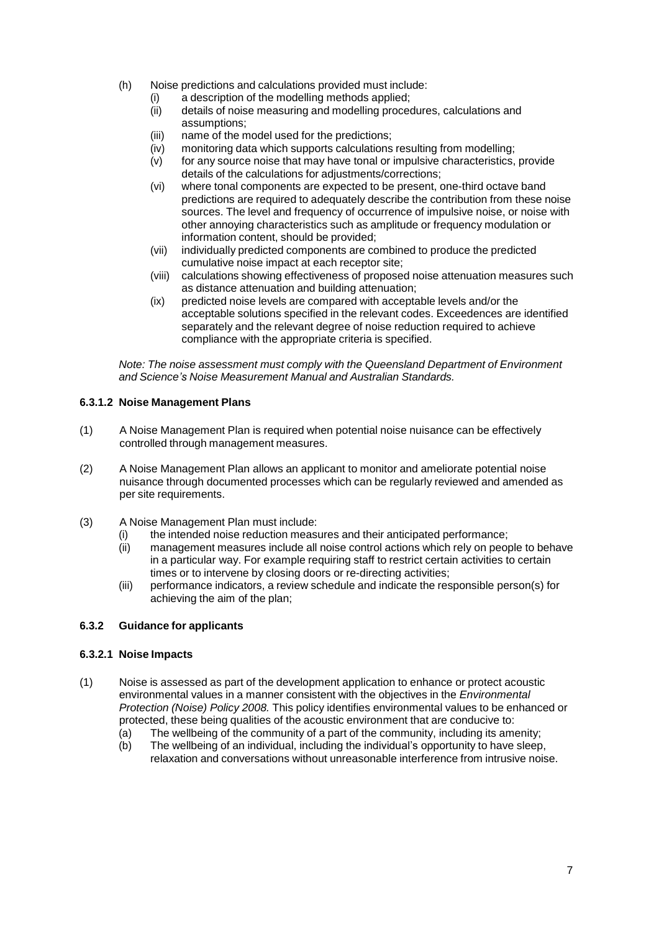- (h) Noise predictions and calculations provided must include:
	- (i) a description of the modelling methods applied;
	- (ii) details of noise measuring and modelling procedures, calculations and assumptions;
	- (iii) name of the model used for the predictions;
	- (iv) monitoring data which supports calculations resulting from modelling;
	- (v) for any source noise that may have tonal or impulsive characteristics, provide details of the calculations for adjustments/corrections;
	- (vi) where tonal components are expected to be present, one-third octave band predictions are required to adequately describe the contribution from these noise sources. The level and frequency of occurrence of impulsive noise, or noise with other annoying characteristics such as amplitude or frequency modulation or information content, should be provided;
	- (vii) individually predicted components are combined to produce the predicted cumulative noise impact at each receptor site;
	- (viii) calculations showing effectiveness of proposed noise attenuation measures such as distance attenuation and building attenuation;
	- (ix) predicted noise levels are compared with acceptable levels and/or the acceptable solutions specified in the relevant codes. Exceedences are identified separately and the relevant degree of noise reduction required to achieve compliance with the appropriate criteria is specified.

*Note: The noise assessment must comply with the Queensland Department of Environment and Science's Noise Measurement Manual and Australian Standards.*

# **6.3.1.2 Noise Management Plans**

- (1) A Noise Management Plan is required when potential noise nuisance can be effectively controlled through management measures.
- (2) A Noise Management Plan allows an applicant to monitor and ameliorate potential noise nuisance through documented processes which can be regularly reviewed and amended as per site requirements.
- (3) A Noise Management Plan must include:
	- (i) the intended noise reduction measures and their anticipated performance;
	- (ii) management measures include all noise control actions which rely on people to behave in a particular way. For example requiring staff to restrict certain activities to certain times or to intervene by closing doors or re-directing activities;
	- (iii) performance indicators, a review schedule and indicate the responsible person(s) for achieving the aim of the plan;

# **6.3.2 Guidance for applicants**

#### **6.3.2.1 Noise Impacts**

- (1) Noise is assessed as part of the development application to enhance or protect acoustic environmental values in a manner consistent with the objectives in the *Environmental Protection (Noise) Policy 2008.* This policy identifies environmental values to be enhanced or protected, these being qualities of the acoustic environment that are conducive to:
	- (a) The wellbeing of the community of a part of the community, including its amenity;
	- (b) The wellbeing of an individual, including the individual's opportunity to have sleep, relaxation and conversations without unreasonable interference from intrusive noise.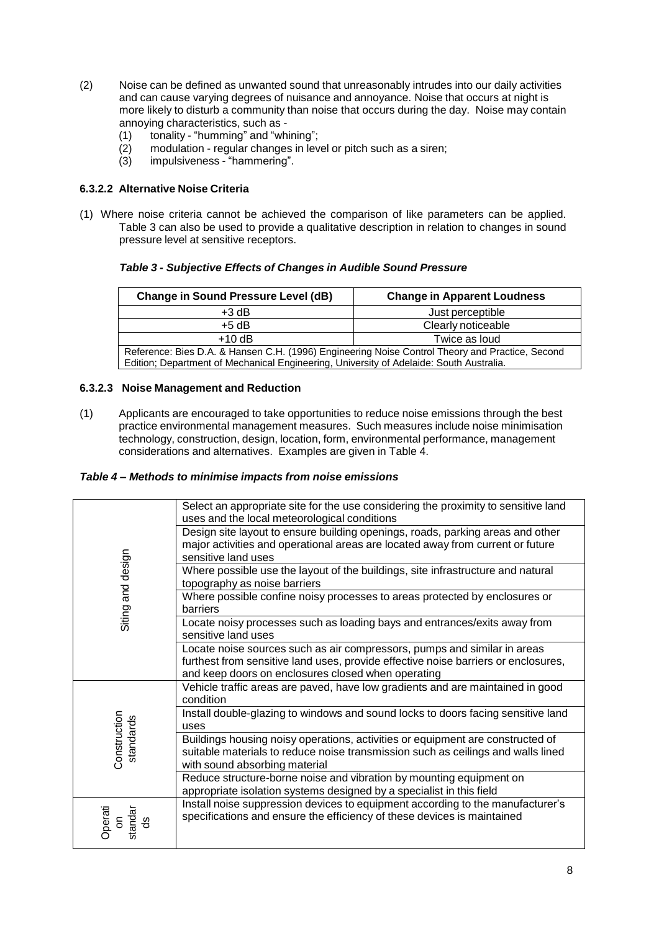- (2) Noise can be defined as unwanted sound that unreasonably intrudes into our daily activities and can cause varying degrees of nuisance and annoyance. Noise that occurs at night is more likely to disturb a community than noise that occurs during the day. Noise may contain annoying characteristics, such as -
	- (1) tonality "humming" and "whining";
	- (2) modulation regular changes in level or pitch such as a siren;<br>(3) impulsiveness "hammering".
	- impulsiveness "hammering".

#### **6.3.2.2 Alternative Noise Criteria**

(1) Where noise criteria cannot be achieved the comparison of like parameters can be applied. Table 3 can also be used to provide a qualitative description in relation to changes in sound pressure level at sensitive receptors.

#### *Table 3 - Subjective Effects of Changes in Audible Sound Pressure*

| Change in Sound Pressure Level (dB)                                                             | <b>Change in Apparent Loudness</b> |  |
|-------------------------------------------------------------------------------------------------|------------------------------------|--|
| $+3$ dB                                                                                         | Just perceptible                   |  |
| $+5$ dB                                                                                         | Clearly noticeable                 |  |
| $+10$ dB                                                                                        | Twice as loud                      |  |
| Reference: Bies D.A. & Hansen C.H. (1996) Engineering Noise Control Theory and Practice, Second |                                    |  |
| Edition; Department of Mechanical Engineering, University of Adelaide: South Australia.         |                                    |  |

#### **6.3.2.3 Noise Management and Reduction**

(1) Applicants are encouraged to take opportunities to reduce noise emissions through the best practice environmental management measures. Such measures include noise minimisation technology, construction, design, location, form, environmental performance, management considerations and alternatives. Examples are given in Table 4.

#### *Table 4 – Methods to minimise impacts from noise emissions*

| Siting and design              | Select an appropriate site for the use considering the proximity to sensitive land<br>uses and the local meteorological conditions                                                                                   |
|--------------------------------|----------------------------------------------------------------------------------------------------------------------------------------------------------------------------------------------------------------------|
|                                | Design site layout to ensure building openings, roads, parking areas and other<br>major activities and operational areas are located away from current or future<br>sensitive land uses                              |
|                                | Where possible use the layout of the buildings, site infrastructure and natural<br>topography as noise barriers                                                                                                      |
|                                | Where possible confine noisy processes to areas protected by enclosures or<br><b>barriers</b>                                                                                                                        |
|                                | Locate noisy processes such as loading bays and entrances/exits away from<br>sensitive land uses                                                                                                                     |
|                                | Locate noise sources such as air compressors, pumps and similar in areas<br>furthest from sensitive land uses, provide effective noise barriers or enclosures,<br>and keep doors on enclosures closed when operating |
| Construction<br>standards      | Vehicle traffic areas are paved, have low gradients and are maintained in good<br>condition                                                                                                                          |
|                                | Install double-glazing to windows and sound locks to doors facing sensitive land<br>uses                                                                                                                             |
|                                | Buildings housing noisy operations, activities or equipment are constructed of<br>suitable materials to reduce noise transmission such as ceilings and walls lined<br>with sound absorbing material                  |
|                                | Reduce structure-borne noise and vibration by mounting equipment on<br>appropriate isolation systems designed by a specialist in this field                                                                          |
| standar<br><b>Perati</b><br>မိ | Install noise suppression devices to equipment according to the manufacturer's<br>specifications and ensure the efficiency of these devices is maintained                                                            |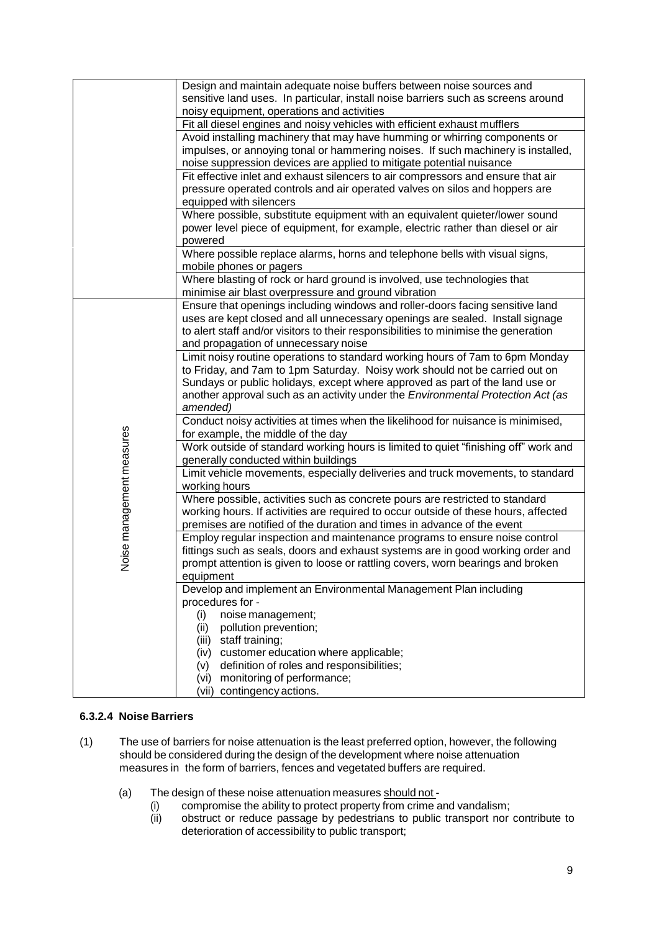|                           | Design and maintain adequate noise buffers between noise sources and                                                             |
|---------------------------|----------------------------------------------------------------------------------------------------------------------------------|
|                           | sensitive land uses. In particular, install noise barriers such as screens around                                                |
|                           | noisy equipment, operations and activities                                                                                       |
|                           | Fit all diesel engines and noisy vehicles with efficient exhaust mufflers                                                        |
|                           | Avoid installing machinery that may have humming or whirring components or                                                       |
|                           | impulses, or annoying tonal or hammering noises. If such machinery is installed,                                                 |
|                           | noise suppression devices are applied to mitigate potential nuisance                                                             |
|                           | Fit effective inlet and exhaust silencers to air compressors and ensure that air                                                 |
|                           | pressure operated controls and air operated valves on silos and hoppers are                                                      |
|                           | equipped with silencers                                                                                                          |
|                           | Where possible, substitute equipment with an equivalent quieter/lower sound                                                      |
|                           | power level piece of equipment, for example, electric rather than diesel or air                                                  |
|                           | powered                                                                                                                          |
|                           | Where possible replace alarms, horns and telephone bells with visual signs,                                                      |
|                           | mobile phones or pagers                                                                                                          |
|                           | Where blasting of rock or hard ground is involved, use technologies that<br>minimise air blast overpressure and ground vibration |
|                           | Ensure that openings including windows and roller-doors facing sensitive land                                                    |
|                           | uses are kept closed and all unnecessary openings are sealed. Install signage                                                    |
|                           | to alert staff and/or visitors to their responsibilities to minimise the generation                                              |
|                           | and propagation of unnecessary noise                                                                                             |
|                           | Limit noisy routine operations to standard working hours of 7am to 6pm Monday                                                    |
|                           | to Friday, and 7am to 1pm Saturday. Noisy work should not be carried out on                                                      |
|                           | Sundays or public holidays, except where approved as part of the land use or                                                     |
|                           | another approval such as an activity under the Environmental Protection Act (as                                                  |
|                           | amended)                                                                                                                         |
|                           | Conduct noisy activities at times when the likelihood for nuisance is minimised,                                                 |
|                           | for example, the middle of the day                                                                                               |
|                           | Work outside of standard working hours is limited to quiet "finishing off" work and                                              |
|                           | generally conducted within buildings                                                                                             |
|                           | Limit vehicle movements, especially deliveries and truck movements, to standard                                                  |
|                           | working hours                                                                                                                    |
| Noise management measures | Where possible, activities such as concrete pours are restricted to standard                                                     |
|                           | working hours. If activities are required to occur outside of these hours, affected                                              |
|                           | premises are notified of the duration and times in advance of the event                                                          |
|                           | Employ regular inspection and maintenance programs to ensure noise control                                                       |
|                           | fittings such as seals, doors and exhaust systems are in good working order and                                                  |
|                           | prompt attention is given to loose or rattling covers, worn bearings and broken                                                  |
|                           | equipment                                                                                                                        |
|                           | Develop and implement an Environmental Management Plan including                                                                 |
|                           | procedures for -                                                                                                                 |
|                           | noise management;<br>(i)                                                                                                         |
|                           | pollution prevention;<br>(ii)                                                                                                    |
|                           | (iii) staff training;                                                                                                            |
|                           | (iv) customer education where applicable;                                                                                        |
|                           | definition of roles and responsibilities;<br>(v)                                                                                 |
|                           | (vi) monitoring of performance;                                                                                                  |
|                           | (vii) contingency actions.                                                                                                       |

# **6.3.2.4 Noise Barriers**

- (1) The use of barriers for noise attenuation is the least preferred option, however, the following should be considered during the design of the development where noise attenuation measures in the form of barriers, fences and vegetated buffers are required.
	- (a) The design of these noise attenuation measures should not -
		- (i) compromise the ability to protect property from crime and vandalism;<br>(ii) obstruct or reduce passage by pedestrians to public transport nor
		- obstruct or reduce passage by pedestrians to public transport nor contribute to deterioration of accessibility to public transport;